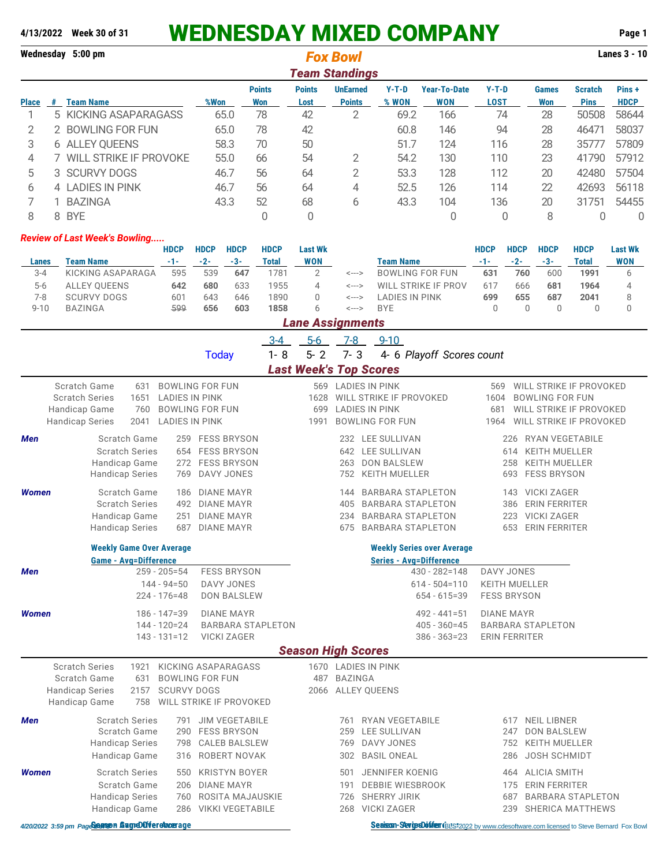# **4/13/2022 Week 30 of 31** WEDNESDAY MIXED COMPANY **Page 1**

|               | Wednesday 5:00 pm |                               |      |                      | <b>Fox Bowl</b>       |                                  |                  | <b>Lanes 3 - 10</b>               |                        |                     |                               |                       |  |  |
|---------------|-------------------|-------------------------------|------|----------------------|-----------------------|----------------------------------|------------------|-----------------------------------|------------------------|---------------------|-------------------------------|-----------------------|--|--|
|               | Team Standings    |                               |      |                      |                       |                                  |                  |                                   |                        |                     |                               |                       |  |  |
| <b>Place</b>  | #                 | Team Name                     | %Won | <b>Points</b><br>Won | <b>Points</b><br>Lost | <b>UnEarned</b><br><b>Points</b> | $Y-T-D$<br>% WON | <b>Year-To-Date</b><br><b>WON</b> | $Y-T-D$<br><b>LOST</b> | <b>Games</b><br>Won | <b>Scratch</b><br><b>Pins</b> | Pins +<br><b>HDCP</b> |  |  |
|               |                   | 5 KICKING ASAPARAGASS         | 65.0 | 78                   | 42                    |                                  | 69.2             | 166                               | 74                     | 28                  | 50508                         | 58644                 |  |  |
| $\mathcal{P}$ | 2                 | <b>BOWLING FOR FUN</b>        | 65.0 | 78                   | 42                    |                                  | 60.8             | 146                               | 94                     | 28                  | 46471                         | 58037                 |  |  |
| 3             |                   | 6 ALLEY OUEENS                | 58.3 | 70                   | 50                    |                                  | 51.7             | 124                               | 116                    | 28                  | 35777                         | 57809                 |  |  |
| 4             |                   | <b>WILL STRIKE IF PROVOKE</b> | 55.0 | 66                   | 54                    |                                  | 54.2             | 130                               | 110                    | 23                  | 41790                         | 57912                 |  |  |
| 5             |                   | 3 SCURVY DOGS                 | 46.7 | 56                   | 64                    | 2                                | 53.3             | 128                               | 112                    | 20                  | 42480                         | 57504                 |  |  |
| 6             |                   | 4 LADIES IN PINK              | 46.7 | 56                   | 64                    | 4                                | 52.5             | 126                               | 114                    | 22                  | 42693                         | 56118                 |  |  |
|               |                   | <b>BAZINGA</b>                | 43.3 | 52                   | 68                    | 6                                | 43.3             | 104                               | 136                    | 20                  | 31751                         | 54455                 |  |  |
|               |                   |                               |      |                      |                       |                                  |                  |                                   |                        |                     |                               |                       |  |  |

#### *Review of Last Week's Bowling.....*

|          |                    | <b>HDCP</b> | <b>HDCP</b> | <b>HDCP</b> | <b>HDCP</b> | <b>Last Wk</b> |       |                     | <b>HDCP</b> | <b>HDCP</b> | <b>HDCP</b> | <b>HDCP</b> | <b>Last Wk</b> |
|----------|--------------------|-------------|-------------|-------------|-------------|----------------|-------|---------------------|-------------|-------------|-------------|-------------|----------------|
| Lanes    | Team Name          | $-1-$       | $-2-$       | $-3-$       | Total       | <b>WON</b>     |       | Team Name           | $-1-$       | $-2-$       | $-3-$       | Total       | <b>WON</b>     |
| $3 - 4$  | KICKING ASAPARAGA  | 595         | 539         | 647         | 1781        |                | <---> | BOWLING FOR FUN     | 631         | 760         | 600         | 1991        |                |
| $5-6$    | ALLEY OUEENS       | 642         | 680         | 633         | 1955        |                | <---> | WILL STRIKE IF PROV | 617         | 666         | 681         | 1964        |                |
| 7-8      | <b>SCURVY DOGS</b> | 601         | 643         | 646         | 1890        |                | <---> | LADIES IN PINK      | 699         | 655         | 687         | 2041        |                |
| $9 - 10$ | BAZINGA            | 599         | 656         | 603         | 1858        | b              | <---> | <b>BYE</b>          |             |             |             |             |                |
|          |                    |             |             |             |             |                |       |                     |             |             |             |             |                |

8 8 BYE 0 0 0 0 8 0 0

#### *Lane Assignments*

|              |                                |                       |                        | $3 - 4$<br>$5-6$   | 7-8<br>$9 - 10$                  |                                 |  |
|--------------|--------------------------------|-----------------------|------------------------|--------------------|----------------------------------|---------------------------------|--|
|              |                                |                       | Today                  | $1 - 8$<br>$5 - 2$ | 4- 6 Playoff Scores count<br>7-3 |                                 |  |
|              |                                |                       |                        |                    | <b>Last Week's Top Scores</b>    |                                 |  |
|              | Scratch Game<br>631            |                       | <b>BOWLING FOR FUN</b> | 569                | LADIES IN PINK                   | WILL STRIKE IF PROVOKED<br>569  |  |
|              | <b>Scratch Series</b><br>1651  | <b>LADIES IN PINK</b> |                        | 1628               | WILL STRIKE IF PROVOKED          | <b>BOWLING FOR FUN</b><br>1604  |  |
|              | Handicap Game<br>760           |                       | <b>BOWLING FOR FUN</b> | 699                | <b>LADIES IN PINK</b>            | WILL STRIKE IF PROVOKED<br>681  |  |
|              | <b>Handicap Series</b><br>2041 | <b>LADIES IN PINK</b> |                        | 1991               | <b>BOWLING FOR FUN</b>           | WILL STRIKE IF PROVOKED<br>1964 |  |
| <b>Men</b>   | Scratch Game                   | 259                   | <b>FESS BRYSON</b>     |                    | LEE SULLIVAN<br>232              | RYAN VEGETABILE<br>226          |  |
|              | <b>Scratch Series</b>          | 654                   | <b>FESS BRYSON</b>     |                    | LEE SULLIVAN<br>642              | <b>KEITH MUELLER</b><br>614     |  |
|              | Handicap Game                  |                       | 272 FESS BRYSON        |                    | <b>DON BALSLEW</b><br>263        | <b>KEITH MUELLER</b><br>258     |  |
|              | <b>Handicap Series</b>         | 769                   | DAVY JONES             |                    | <b>KEITH MUELLER</b><br>752      | <b>FESS BRYSON</b><br>693       |  |
| <b>Women</b> | Scratch Game                   | 186                   | DIANE MAYR             |                    | <b>BARBARA STAPLETON</b><br>144  | <b>VICKI ZAGER</b><br>143       |  |
|              | <b>Scratch Series</b>          | 492                   | <b>DIANE MAYR</b>      |                    | <b>BARBARA STAPLETON</b><br>405  | <b>ERIN FERRITER</b><br>386     |  |
|              | Handicap Game                  | 251                   | <b>DIANE MAYR</b>      |                    | <b>BARBARA STAPLETON</b><br>234  | <b>VICKI ZAGER</b><br>223       |  |
|              | <b>Handicap Series</b>         | 687                   | <b>DIANE MAYR</b>      |                    | <b>BARBARA STAPLETON</b><br>675  | ERIN FERRITER<br>653            |  |

#### **Weekly Game Over Average Weekly Series over Average**

#### **Game - Avg=Difference Series - Avg=Difference** *Men* 259 - 205=54 FESS BRYSON 430 - 282=148 DAVY JONES 144 - 94=50 DAVY JONES 614 - 504=110 KEITH MUELLER **DON BALSLEW** *Women* 186 - 147=39 DIANE MAYR 492 - 441=51 DIANE MAYR 405 - 360=45 BARBARA STAPLETON 143 - 131=12 VICKI ZAGER 386 - 363=23 ERIN FERRITER *Season High Scores* Scratch Series 1921 KICKING ASAPARAGASS 1670 LADIES IN PINK

|              | Scratch Game<br>631                |                    | BOWLING FOR FUN         | 487 BAZINGA |                   |     |                          |  |
|--------------|------------------------------------|--------------------|-------------------------|-------------|-------------------|-----|--------------------------|--|
|              | <b>Handicap Series</b><br>2157     | <b>SCURVY DOGS</b> |                         |             | 2066 ALLEY OUEENS |     |                          |  |
|              | Handicap Game<br>758               |                    | WILL STRIKE IF PROVOKED |             |                   |     |                          |  |
| <b>Men</b>   | <b>Scratch Series</b>              | 791                | JIM VEGETABILE          | 761         | RYAN VEGETABILE   | 617 | NEIL LIBNER              |  |
|              | Scratch Game                       |                    | 290 FESS BRYSON         |             | 259 LEE SULLIVAN  | 247 | <b>DON BALSLEW</b>       |  |
|              | <b>Handicap Series</b>             |                    | 798 CALEB BALSLEW       |             | 769 DAVY JONES    |     | 752 KEITH MUELLER        |  |
|              | Handicap Game                      |                    | 316 ROBERT NOVAK        |             | 302 BASIL ONEAL   |     | 286 JOSH SCHMIDT         |  |
| <b>Women</b> | <b>Scratch Series</b>              |                    | 550 KRISTYN BOYER       | 501         | JENNIFER KOENIG   |     | 464 ALICIA SMITH         |  |
|              | Scratch Game                       |                    | 206 DIANE MAYR          | 191         | DEBBIE WIESBROOK  |     | 175 ERIN FERRITER        |  |
|              | <b>Handicap Series</b>             |                    | 760 ROSITA MAJAUSKIE    |             | 726 SHERRY JIRIK  | 687 | <b>BARBARA STAPLETON</b> |  |
|              | Handicap Game                      |                    | 286 VIKKI VEGETABILE    |             | 268 VICKI ZAGER   |     | 239 SHERICA MATTHEWS     |  |
|              | $\sim$ $\sim$ $\sim$ $\sim$ $\sim$ |                    |                         |             | .                 |     |                          |  |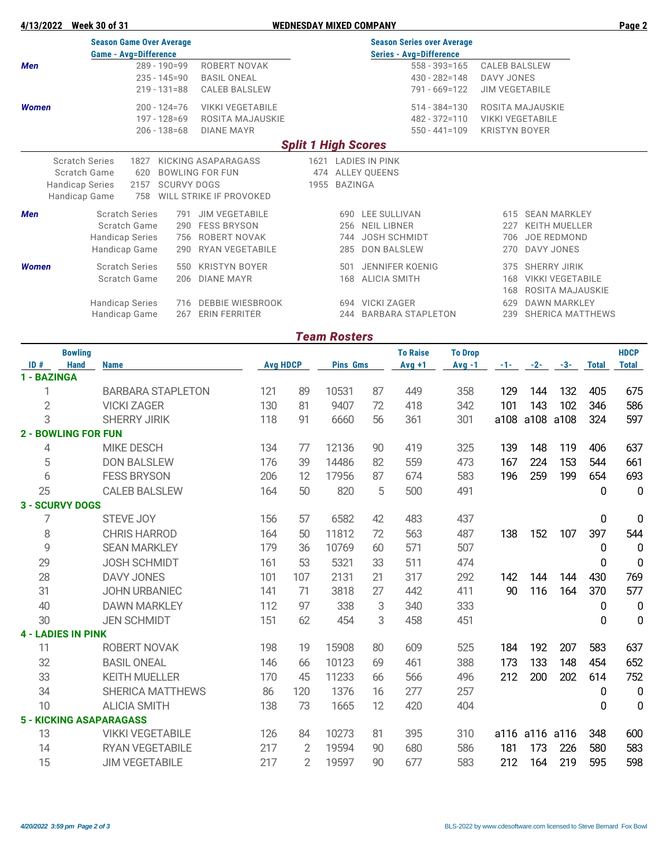#### **4/13/2022 Week 30 of 31 WEDNESDAY MIXED COMPANY Page 2**

|              | <b>Season Game Over Average</b> |                              |                    |                         |                            |                   | <b>Season Series over Average</b> |            |                         |  |  |  |  |  |
|--------------|---------------------------------|------------------------------|--------------------|-------------------------|----------------------------|-------------------|-----------------------------------|------------|-------------------------|--|--|--|--|--|
|              |                                 | <b>Game - Avg=Difference</b> |                    |                         |                            |                   | <b>Series - Avg=Difference</b>    |            |                         |  |  |  |  |  |
| Men          |                                 |                              | $289 - 190 = 99$   | ROBERT NOVAK            |                            |                   | $558 - 393 = 165$                 |            | <b>CALEB BALSLEW</b>    |  |  |  |  |  |
|              |                                 |                              | $235 - 145 = 90$   | <b>BASIL ONEAL</b>      |                            |                   | $430 - 282 = 148$                 | DAVY JONES |                         |  |  |  |  |  |
|              |                                 |                              | $219 - 131 = 88$   | <b>CALEB BALSLEW</b>    |                            |                   | 791 - 669=122                     |            | <b>JIM VEGETABILE</b>   |  |  |  |  |  |
| Women        |                                 |                              | $200 - 124 = 76$   | <b>VIKKI VEGETABILE</b> |                            | $514 - 384 = 130$ |                                   |            | ROSITA MAJAUSKIE        |  |  |  |  |  |
|              |                                 |                              | $197 - 128 = 69$   | ROSITA MAJAUSKIE        |                            |                   | $482 - 372 = 110$                 |            | <b>VIKKI VEGETABILE</b> |  |  |  |  |  |
|              |                                 |                              | $206 - 138 = 68$   | <b>DIANE MAYR</b>       |                            |                   | $550 - 441 = 109$                 |            | <b>KRISTYN BOYER</b>    |  |  |  |  |  |
|              |                                 |                              |                    |                         | <b>Split 1 High Scores</b> |                   |                                   |            |                         |  |  |  |  |  |
|              | <b>Scratch Series</b>           | 1827                         |                    | KICKING ASAPARAGASS     |                            |                   | 1621 LADIES IN PINK               |            |                         |  |  |  |  |  |
|              | Scratch Game                    | 620                          |                    | <b>BOWLING FOR FUN</b>  |                            |                   | 474 ALLEY QUEENS                  |            |                         |  |  |  |  |  |
|              | <b>Handicap Series</b>          | 2157                         | <b>SCURVY DOGS</b> |                         |                            | 1955 BAZINGA      |                                   |            |                         |  |  |  |  |  |
|              | Handicap Game                   | 758                          |                    | WILL STRIKE IF PROVOKED |                            |                   |                                   |            |                         |  |  |  |  |  |
| Men          |                                 | <b>Scratch Series</b>        | 791                | <b>JIM VEGETABILE</b>   |                            | 690               | LEE SULLIVAN                      | 615        | <b>SEAN MARKLEY</b>     |  |  |  |  |  |
|              |                                 | Scratch Game                 | 290                | <b>FESS BRYSON</b>      |                            | 256               | <b>NEIL LIBNER</b>                | 227        | <b>KEITH MUELLER</b>    |  |  |  |  |  |
|              |                                 | <b>Handicap Series</b>       | 756                | ROBERT NOVAK            |                            | 744               | <b>JOSH SCHMIDT</b>               | 706        | <b>JOE REDMOND</b>      |  |  |  |  |  |
|              |                                 | Handicap Game                | 290                | RYAN VEGETABILE         |                            | 285               | <b>DON BALSLEW</b>                | 270        | DAVY JONES              |  |  |  |  |  |
| <b>Women</b> |                                 | <b>Scratch Series</b>        | 550                | <b>KRISTYN BOYER</b>    |                            | 501               | <b>JENNIFER KOENIG</b>            | 375        | <b>SHERRY JIRIK</b>     |  |  |  |  |  |
|              |                                 | Scratch Game                 | 206                | <b>DIANE MAYR</b>       |                            | 168               | <b>ALICIA SMITH</b>               | 168        | <b>VIKKI VEGETABILE</b> |  |  |  |  |  |
|              |                                 |                              |                    |                         |                            |                   |                                   | 168        | ROSITA MAJAUSKIE        |  |  |  |  |  |
|              |                                 | <b>Handicap Series</b>       | 716                | <b>DEBBIE WIESBROOK</b> |                            | 694               | <b>VICKI ZAGER</b>                | 629        | <b>DAWN MARKLEY</b>     |  |  |  |  |  |
|              |                                 | Handicap Game                | 267                | <b>ERIN FERRITER</b>    |                            | 244               | <b>BARBARA STAPLETON</b>          | 239        | <b>SHERICA MATTHEWS</b> |  |  |  |  |  |
|              |                                 |                              |                    |                         |                            |                   |                                   |            |                         |  |  |  |  |  |

### *Team Rosters*

|                | <b>Bowling</b>             |                                |                 |                |                 |    | <b>To Raise</b> | <b>To Drop</b> |       |           |       |              | <b>HDCP</b>  |
|----------------|----------------------------|--------------------------------|-----------------|----------------|-----------------|----|-----------------|----------------|-------|-----------|-------|--------------|--------------|
| ID#            | <b>Hand</b>                | <b>Name</b>                    | <b>Avg HDCP</b> |                | <b>Pins Gms</b> |    | $Avg +1$        | $Avg -1$       | $-1-$ | $-2-$     | $-3-$ | <b>Total</b> | <b>Total</b> |
| 1 - BAZINGA    |                            |                                |                 |                |                 |    |                 |                |       |           |       |              |              |
| 1              |                            | <b>BARBARA STAPLETON</b>       | 121             | 89             | 10531           | 87 | 449             | 358            | 129   | 144       | 132   | 405          | 675          |
| $\overline{2}$ |                            | <b>VICKI ZAGER</b>             | 130             | 81             | 9407            | 72 | 418             | 342            | 101   | 143       | 102   | 346          | 586          |
| 3              |                            | <b>SHERRY JIRIK</b>            | 118             | 91             | 6660            | 56 | 361             | 301            | a108  | a108      | a108  | 324          | 597          |
|                | <b>2 - BOWLING FOR FUN</b> |                                |                 |                |                 |    |                 |                |       |           |       |              |              |
| 4              |                            | <b>MIKE DESCH</b>              | 134             | 77             | 12136           | 90 | 419             | 325            | 139   | 148       | 119   | 406          | 637          |
| 5              |                            | <b>DON BALSLEW</b>             | 176             | 39             | 14486           | 82 | 559             | 473            | 167   | 224       | 153   | 544          | 661          |
| 6              |                            | <b>FESS BRYSON</b>             | 206             | 12             | 17956           | 87 | 674             | 583            | 196   | 259       | 199   | 654          | 693          |
| 25             |                            | <b>CALEB BALSLEW</b>           | 164             | 50             | 820             | 5  | 500             | 491            |       |           |       | 0            | $\mathbf 0$  |
|                | <b>3 - SCURVY DOGS</b>     |                                |                 |                |                 |    |                 |                |       |           |       |              |              |
| 7              |                            | <b>STEVE JOY</b>               | 156             | 57             | 6582            | 42 | 483             | 437            |       |           |       | 0            | 0            |
| 8              |                            | <b>CHRIS HARROD</b>            | 164             | 50             | 11812           | 72 | 563             | 487            | 138   | 152       | 107   | 397          | 544          |
| 9              |                            | <b>SEAN MARKLEY</b>            | 179             | 36             | 10769           | 60 | 571             | 507            |       |           |       | 0            | 0            |
| 29             |                            | <b>JOSH SCHMIDT</b>            | 161             | 53             | 5321            | 33 | 511             | 474            |       |           |       | 0            | 0            |
| 28             |                            | <b>DAVY JONES</b>              | 101             | 107            | 2131            | 21 | 317             | 292            | 142   | 144       | 144   | 430          | 769          |
| 31             |                            | <b>JOHN URBANIEC</b>           | 141             | 71             | 3818            | 27 | 442             | 411            | 90    | 116       | 164   | 370          | 577          |
| 40             |                            | <b>DAWN MARKLEY</b>            | 112             | 97             | 338             | 3  | 340             | 333            |       |           |       | 0            | $\mathbf 0$  |
| 30             |                            | <b>JEN SCHMIDT</b>             | 151             | 62             | 454             | 3  | 458             | 451            |       |           |       | 0            | $\mathbf 0$  |
|                | <b>4 - LADIES IN PINK</b>  |                                |                 |                |                 |    |                 |                |       |           |       |              |              |
| 11             |                            | ROBERT NOVAK                   | 198             | 19             | 15908           | 80 | 609             | 525            | 184   | 192       | 207   | 583          | 637          |
| 32             |                            | <b>BASIL ONEAL</b>             | 146             | 66             | 10123           | 69 | 461             | 388            | 173   | 133       | 148   | 454          | 652          |
| 33             |                            | <b>KEITH MUELLER</b>           | 170             | 45             | 11233           | 66 | 566             | 496            | 212   | 200       | 202   | 614          | 752          |
| 34             |                            | <b>SHERICA MATTHEWS</b>        | 86              | 120            | 1376            | 16 | 277             | 257            |       |           |       | 0            | 0            |
| 10             |                            | <b>ALICIA SMITH</b>            | 138             | 73             | 1665            | 12 | 420             | 404            |       |           |       | 0            | 0            |
|                |                            | <b>5 - KICKING ASAPARAGASS</b> |                 |                |                 |    |                 |                |       |           |       |              |              |
| 13             |                            | <b>VIKKI VEGETABILE</b>        | 126             | 84             | 10273           | 81 | 395             | 310            | a116  | a116 a116 |       | 348          | 600          |
| 14             |                            | RYAN VEGETABILE                | 217             | $\overline{2}$ | 19594           | 90 | 680             | 586            | 181   | 173       | 226   | 580          | 583          |
| 15             |                            | <b>JIM VEGETABILE</b>          | 217             | 2              | 19597           | 90 | 677             | 583            | 212   | 164       | 219   | 595          | 598          |